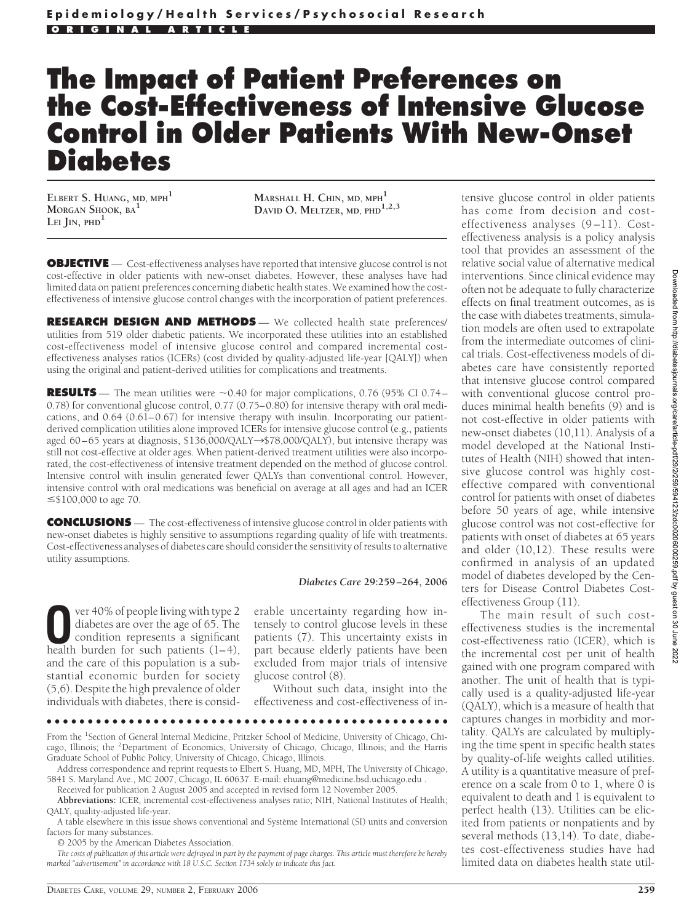# **The Impact of Patient Preferences on the Cost-Effectiveness of Intensive Glucose Control in Older Patients With New-Onset Diabetes**

**ELBERT S. HUANG, MD, MPH<sup>1</sup> MORGAN SHOOK, BA<sup>1</sup> LEI JIN, PHD<sup>1</sup>**

**MARSHALL H. CHIN, MD, MPH<sup>1</sup> DAVID O. MELTZER, MD, PHD1,2,3**

**OBJECTIVE** — Cost-effectiveness analyses have reported that intensive glucose control is not cost-effective in older patients with new-onset diabetes. However, these analyses have had limited data on patient preferences concerning diabetic health states. We examined how the costeffectiveness of intensive glucose control changes with the incorporation of patient preferences.

**RESEARCH DESIGN AND METHODS** — We collected health state preferences/ utilities from 519 older diabetic patients. We incorporated these utilities into an established cost-effectiveness model of intensive glucose control and compared incremental costeffectiveness analyses ratios (ICERs) (cost divided by quality-adjusted life-year [QALY]) when using the original and patient-derived utilities for complications and treatments.

**RESULTS** — The mean utilities were  $\sim$  0.40 for major complications, 0.76 (95% CI 0.74– 0.78) for conventional glucose control, 0.77 (0.75–0.80) for intensive therapy with oral medications, and 0.64 (0.61–0.67) for intensive therapy with insulin. Incorporating our patientderived complication utilities alone improved ICERs for intensive glucose control (e.g., patients aged 60–65 years at diagnosis, \$136,000/QALY $\rightarrow$ \$78,000/QALY), but intensive therapy was still not cost-effective at older ages. When patient-derived treatment utilities were also incorporated, the cost-effectiveness of intensive treatment depended on the method of glucose control. Intensive control with insulin generated fewer QALYs than conventional control. However, intensive control with oral medications was beneficial on average at all ages and had an ICER  $\leq$ \$100,000 to age 70.

**CONCLUSIONS** — The cost-effectiveness of intensive glucose control in older patients with new-onset diabetes is highly sensitive to assumptions regarding quality of life with treatments. Cost-effectiveness analyses of diabetes care should consider the sensitivity of results to alternative utility assumptions.

#### *Diabetes Care* **29:259 –264, 2006**

**O**ver 40% of people living with type 2<br>diabetes are over the age of 65. The<br>condition represents a significant<br>health burden for such patients (1–4) diabetes are over the age of 65. The health burden for such patients (1–4), and the care of this population is a substantial economic burden for society (5,6). Despite the high prevalence of older individuals with diabetes, there is consid-

erable uncertainty regarding how intensely to control glucose levels in these patients (7). This uncertainty exists in part because elderly patients have been excluded from major trials of intensive glucose control (8).

Without such data, insight into the effectiveness and cost-effectiveness of in-

●●●●●●●●●●●●●●●●●●●●●●●●●●●●●●●●●●●●●●●●●●●●●●●●●

From the <sup>1</sup>Section of General Internal Medicine, Pritzker School of Medicine, University of Chicago, Chicago, Illinois; the <sup>2</sup>Department of Economics, University of Chicago, Chicago, Illinois; and the Harris Graduate School of Public Policy, University of Chicago, Chicago, Illinois.

Address correspondence and reprint requests to Elbert S. Huang, MD, MPH, The University of Chicago, 5841 S. Maryland Ave., MC 2007, Chicago, IL 60637. E-mail: ehuang@medicine.bsd.uchicago.edu .

Received for publication 2 August 2005 and accepted in revised form 12 November 2005.

**Abbreviations:** ICER, incremental cost-effectiveness analyses ratio; NIH, National Institutes of Health; QALY, quality-adjusted life-year.

A table elsewhere in this issue shows conventional and Système International (SI) units and conversion factors for many substances.

© 2005 by the American Diabetes Association.

*The costs of publication of this article were defrayed in part by the payment of page charges. This article must therefore be hereby marked "advertisement" in accordance with 18 U.S.C. Section 1734 solely to indicate this fact.*

tensive glucose control in older patients has come from decision and costeffectiveness analyses (9–11). Costeffectiveness analysis is a policy analysis tool that provides an assessment of the relative social value of alternative medical interventions. Since clinical evidence may often not be adequate to fully characterize effects on final treatment outcomes, as is the case with diabetes treatments, simulation models are often used to extrapolate from the intermediate outcomes of clinical trials. Cost-effectiveness models of diabetes care have consistently reported that intensive glucose control compared with conventional glucose control produces minimal health benefits (9) and is not cost-effective in older patients with new-onset diabetes (10,11). Analysis of a model developed at the National Institutes of Health (NIH) showed that intensive glucose control was highly costeffective compared with conventional control for patients with onset of diabetes before 50 years of age, while intensive glucose control was not cost-effective for patients with onset of diabetes at 65 years and older (10,12). These results were confirmed in analysis of an updated model of diabetes developed by the Centers for Disease Control Diabetes Costeffectiveness Group (11).

The main result of such costeffectiveness studies is the incremental cost-effectiveness ratio (ICER), which is the incremental cost per unit of health gained with one program compared with another. The unit of health that is typically used is a quality-adjusted life-year (QALY), which is a measure of health that captures changes in morbidity and mortality. QALYs are calculated by multiplying the time spent in specific health states by quality-of-life weights called utilities. A utility is a quantitative measure of preference on a scale from 0 to 1, where 0 is equivalent to death and 1 is equivalent to perfect health (13). Utilities can be elicited from patients or nonpatients and by several methods (13,14). To date, diabetes cost-effectiveness studies have had limited data on diabetes health state util-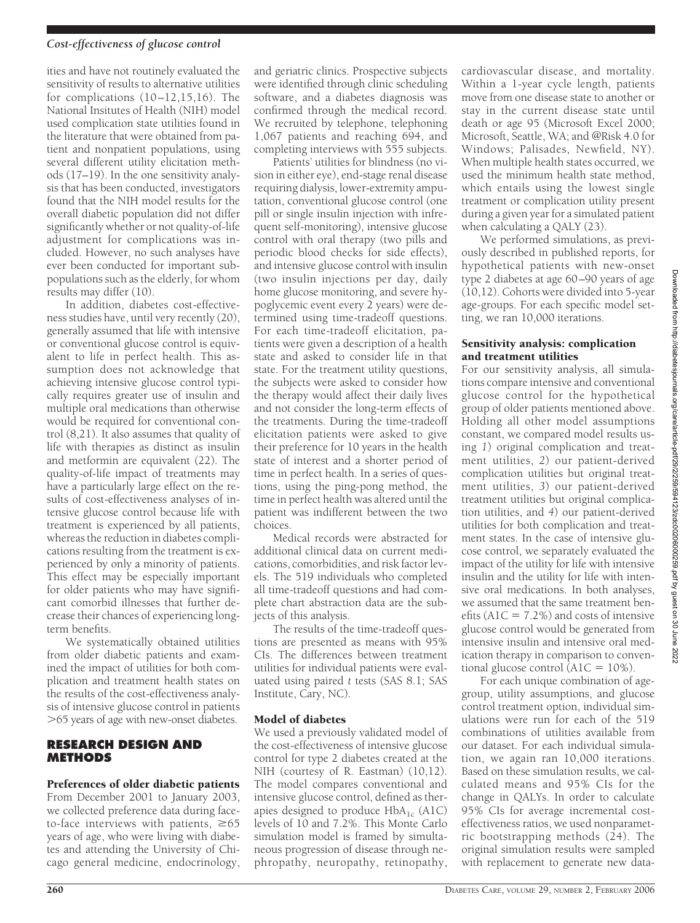#### *Cost-effectiveness of glucose control*

ities and have not routinely evaluated the sensitivity of results to alternative utilities for complications (10–12,15,16). The National Insitutes of Health (NIH) model used complication state utilities found in the literature that were obtained from patient and nonpatient populations, using several different utility elicitation methods (17–19). In the one sensitivity analysis that has been conducted, investigators found that the NIH model results for the overall diabetic population did not differ significantly whether or not quality-of-life adjustment for complications was included. However, no such analyses have ever been conducted for important subpopulations such as the elderly, for whom results may differ (10).

In addition, diabetes cost-effectiveness studies have, until very recently (20), generally assumed that life with intensive or conventional glucose control is equivalent to life in perfect health. This assumption does not acknowledge that achieving intensive glucose control typically requires greater use of insulin and multiple oral medications than otherwise would be required for conventional control (8,21). It also assumes that quality of life with therapies as distinct as insulin and metformin are equivalent (22). The quality-of-life impact of treatments may have a particularly large effect on the results of cost-effectiveness analyses of intensive glucose control because life with treatment is experienced by all patients, whereas the reduction in diabetes complications resulting from the treatment is experienced by only a minority of patients. This effect may be especially important for older patients who may have significant comorbid illnesses that further decrease their chances of experiencing longterm benefits.

We systematically obtained utilities from older diabetic patients and examined the impact of utilities for both complication and treatment health states on the results of the cost-effectiveness analysis of intensive glucose control in patients -65 years of age with new-onset diabetes.

# **RESEARCH DESIGN AND METHODS**

# Preferences of older diabetic patients

From December 2001 to January 2003, we collected preference data during faceto-face interviews with patients,  $\geq 65$ years of age, who were living with diabetes and attending the University of Chicago general medicine, endocrinology,

and geriatric clinics. Prospective subjects were identified through clinic scheduling software, and a diabetes diagnosis was confirmed through the medical record. We recruited by telephone, telephoning 1,067 patients and reaching 694, and completing interviews with 555 subjects.

Patients' utilities for blindness (no vision in either eye), end-stage renal disease requiring dialysis, lower-extremity amputation, conventional glucose control (one pill or single insulin injection with infrequent self-monitoring), intensive glucose control with oral therapy (two pills and periodic blood checks for side effects), and intensive glucose control with insulin (two insulin injections per day, daily home glucose monitoring, and severe hypoglycemic event every 2 years) were determined using time-tradeoff questions. For each time-tradeoff elicitation, patients were given a description of a health state and asked to consider life in that state. For the treatment utility questions, the subjects were asked to consider how the therapy would affect their daily lives and not consider the long-term effects of the treatments. During the time-tradeoff elicitation patients were asked to give their preference for 10 years in the health state of interest and a shorter period of time in perfect health. In a series of questions, using the ping-pong method, the time in perfect health was altered until the patient was indifferent between the two choices.

Medical records were abstracted for additional clinical data on current medications, comorbidities, and risk factor levels. The 519 individuals who completed all time-tradeoff questions and had complete chart abstraction data are the subjects of this analysis.

The results of the time-tradeoff questions are presented as means with 95% CIs. The differences between treatment utilities for individual patients were evaluated using paired *t* tests (SAS 8.1; SAS Institute, Cary, NC).

### Model of diabetes

We used a previously validated model of the cost-effectiveness of intensive glucose control for type 2 diabetes created at the NIH (courtesy of R. Eastman) (10,12). The model compares conventional and intensive glucose control, defined as therapies designed to produce  $HbA_{1c}$  (A1C) levels of 10 and 7.2%. This Monte Carlo simulation model is framed by simultaneous progression of disease through nephropathy, neuropathy, retinopathy,

cardiovascular disease, and mortality. Within a 1-year cycle length, patients move from one disease state to another or stay in the current disease state until death or age 95 (Microsoft Excel 2000; Microsoft, Seattle, WA; and @Risk 4.0 for Windows; Palisades, Newfield, NY). When multiple health states occurred, we used the minimum health state method, which entails using the lowest single treatment or complication utility present during a given year for a simulated patient when calculating a QALY (23).

We performed simulations, as previously described in published reports, for hypothetical patients with new-onset type 2 diabetes at age 60–90 years of age (10,12). Cohorts were divided into 5-year age-groups. For each specific model setting, we ran 10,000 iterations.

#### Sensitivity analysis: complication and treatment utilities

For our sensitivity analysis, all simulations compare intensive and conventional glucose control for the hypothetical group of older patients mentioned above. Holding all other model assumptions constant, we compared model results using *1*) original complication and treatment utilities, *2*) our patient-derived complication utilities but original treatment utilities, *3*) our patient-derived treatment utilities but original complication utilities, and *4*) our patient-derived utilities for both complication and treatment states. In the case of intensive glucose control, we separately evaluated the impact of the utility for life with intensive insulin and the utility for life with intensive oral medications. In both analyses, we assumed that the same treatment benefits  $(A1C = 7.2\%)$  and costs of intensive glucose control would be generated from intensive insulin and intensive oral medication therapy in comparison to conventional glucose control  $\overline{(A1C = 10\%)}$ .

For each unique combination of agegroup, utility assumptions, and glucose control treatment option, individual simulations were run for each of the 519 combinations of utilities available from our dataset. For each individual simulation, we again ran 10,000 iterations. Based on these simulation results, we calculated means and 95% CIs for the change in QALYs. In order to calculate 95% CIs for average incremental costeffectiveness ratios, we used nonparametric bootstrapping methods (24). The original simulation results were sampled with replacement to generate new data-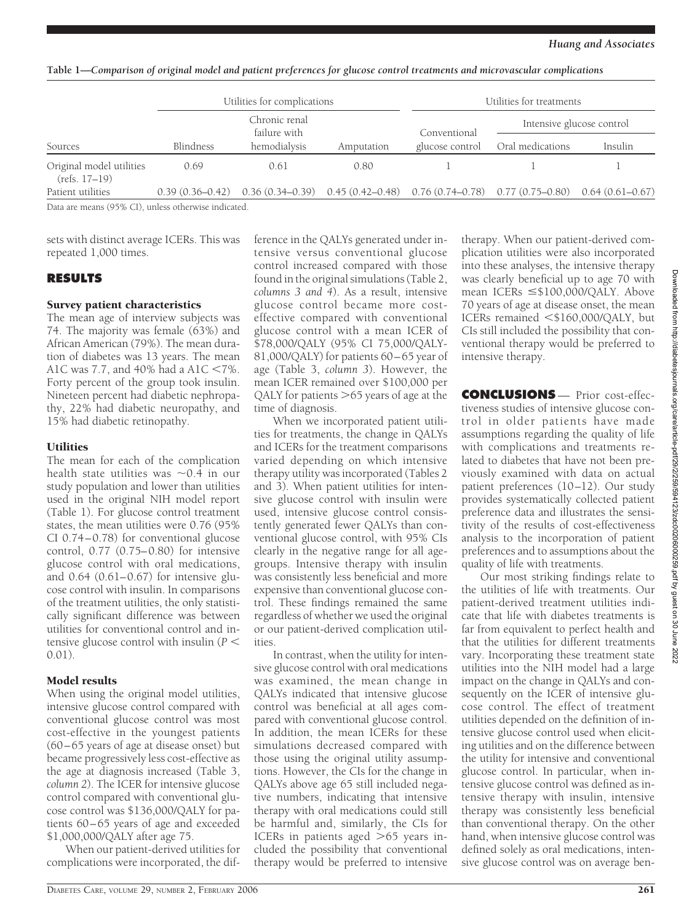**Table 1—***Comparison of original model and patient preferences for glucose control treatments and microvascular complications*

|                                             | Utilities for complications<br>Chronic renal<br>failure with |                                                                                                             |            | Utilities for treatments |                           |         |  |
|---------------------------------------------|--------------------------------------------------------------|-------------------------------------------------------------------------------------------------------------|------------|--------------------------|---------------------------|---------|--|
|                                             |                                                              |                                                                                                             |            | Conventional             | Intensive glucose control |         |  |
| Sources                                     | Blindness                                                    | hemodialysis                                                                                                | Amputation | glucose control          | Oral medications          | Insulin |  |
| Original model utilities<br>$(refs. 17-19)$ | 0.69                                                         | 0.61                                                                                                        | 0.80       |                          |                           |         |  |
| Patient utilities                           |                                                              | $0.39(0.36-0.42)$ $0.36(0.34-0.39)$ $0.45(0.42-0.48)$ $0.76(0.74-0.78)$ $0.77(0.75-0.80)$ $0.64(0.61-0.67)$ |            |                          |                           |         |  |

Data are means (95% CI), unless otherwise indicated.

sets with distinct average ICERs. This was repeated 1,000 times.

# **RESULTS**

# Survey patient characteristics

The mean age of interview subjects was 74. The majority was female (63%) and African American (79%). The mean duration of diabetes was 13 years. The mean A1C was 7.7, and 40% had a A1C  $\lt$ 7%. Forty percent of the group took insulin. Nineteen percent had diabetic nephropathy, 22% had diabetic neuropathy, and 15% had diabetic retinopathy.

# Utilities

The mean for each of the complication health state utilities was  $\sim 0.4$  in our study population and lower than utilities used in the original NIH model report (Table 1). For glucose control treatment states, the mean utilities were 0.76 (95% CI 0.74–0.78) for conventional glucose control, 0.77 (0.75–0.80) for intensive glucose control with oral medications, and 0.64 (0.61–0.67) for intensive glucose control with insulin. In comparisons of the treatment utilities, the only statistically significant difference was between utilities for conventional control and intensive glucose control with insulin (*P* 0.01).

# Model results

When using the original model utilities, intensive glucose control compared with conventional glucose control was most cost-effective in the youngest patients (60–65 years of age at disease onset) but became progressively less cost-effective as the age at diagnosis increased (Table 3, *column 2*). The ICER for intensive glucose control compared with conventional glucose control was \$136,000/QALY for patients 60–65 years of age and exceeded \$1,000,000/QALY after age 75.

When our patient-derived utilities for complications were incorporated, the difference in the QALYs generated under intensive versus conventional glucose control increased compared with those found in the original simulations (Table 2, *columns 3 and 4*). As a result, intensive glucose control became more costeffective compared with conventional glucose control with a mean ICER of \$78,000/QALY (95% CI 75,000/QALY-81,000/QALY) for patients 60–65 year of age (Table 3, *column 3*). However, the mean ICER remained over \$100,000 per QALY for patients >65 years of age at the time of diagnosis.

When we incorporated patient utilities for treatments, the change in QALYs and ICERs for the treatment comparisons varied depending on which intensive therapy utility was incorporated (Tables 2 and 3). When patient utilities for intensive glucose control with insulin were used, intensive glucose control consistently generated fewer QALYs than conventional glucose control, with 95% CIs clearly in the negative range for all agegroups. Intensive therapy with insulin was consistently less beneficial and more expensive than conventional glucose control. These findings remained the same regardless of whether we used the original or our patient-derived complication utilities.

In contrast, when the utility for intensive glucose control with oral medications was examined, the mean change in QALYs indicated that intensive glucose control was beneficial at all ages compared with conventional glucose control. In addition, the mean ICERs for these simulations decreased compared with those using the original utility assumptions. However, the CIs for the change in QALYs above age 65 still included negative numbers, indicating that intensive therapy with oral medications could still be harmful and, similarly, the CIs for ICERs in patients aged >65 years included the possibility that conventional therapy would be preferred to intensive

therapy. When our patient-derived complication utilities were also incorporated into these analyses, the intensive therapy was clearly beneficial up to age 70 with mean ICERs  $\leq$ \$100,000/QALY. Above 70 years of age at disease onset, the mean ICERs remained <\$160,000/QALY, but CIs still included the possibility that conventional therapy would be preferred to intensive therapy.

**CONCLUSIONS** — Prior cost-effectiveness studies of intensive glucose control in older patients have made assumptions regarding the quality of life with complications and treatments related to diabetes that have not been previously examined with data on actual patient preferences (10–12). Our study provides systematically collected patient preference data and illustrates the sensitivity of the results of cost-effectiveness analysis to the incorporation of patient preferences and to assumptions about the quality of life with treatments.

Our most striking findings relate to the utilities of life with treatments. Our patient-derived treatment utilities indicate that life with diabetes treatments is far from equivalent to perfect health and that the utilities for different treatments vary. Incorporating these treatment state utilities into the NIH model had a large impact on the change in QALYs and consequently on the ICER of intensive glucose control. The effect of treatment utilities depended on the definition of intensive glucose control used when eliciting utilities and on the difference between the utility for intensive and conventional glucose control. In particular, when intensive glucose control was defined as intensive therapy with insulin, intensive therapy was consistently less beneficial than conventional therapy. On the other hand, when intensive glucose control was defined solely as oral medications, intensive glucose control was on average ben-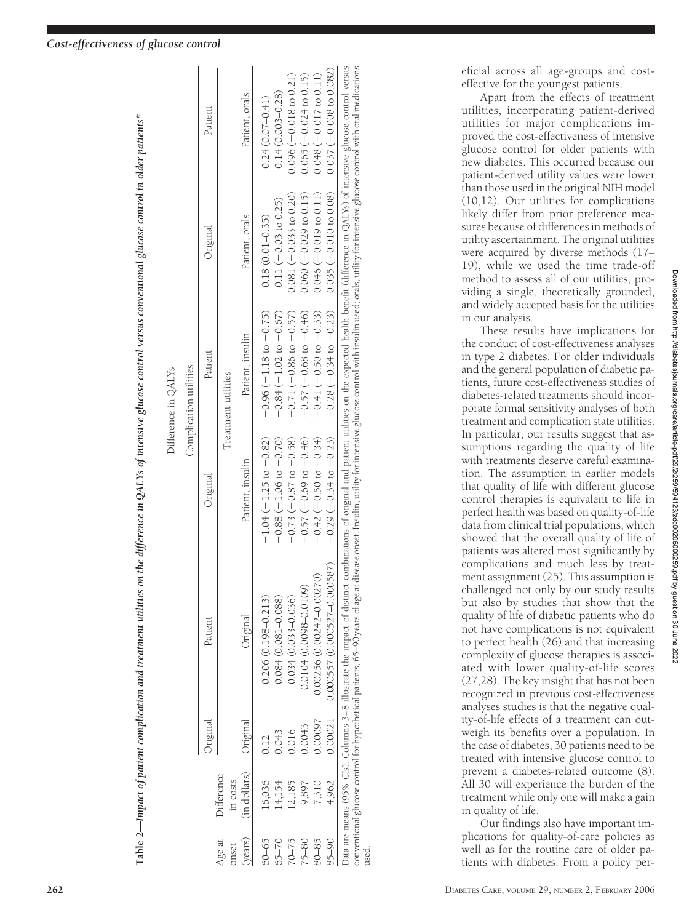# Impact of patient complication and treatment utilities on the difference in QALYs of intensive glucose control versus conventional glucose control in older patients\* Table 2—Impact of patient complication and treatment utilities on the difference in QALYs of intensive glucose control versus conventional glucose control in older patients\* **Table 2—**

| conventional glucose control for hypothetical patients, 65–90 years of age at disease onset. Insulin, utility for intensive glucose control with insulin used; orals, utility for intensive glucose control with oral medicati<br>Data are means (95% CIs). Columns 3–8 illustrate the impact of distinct combinations of original and patient utilities on the expected health benefit (difference in QALYs) of intensive glucose control versus<br>$0.14(0.003 - 0.28)$<br>Patient, orals<br>$0.24(0.07 - 0.41)$<br>Patient<br>$0.035 (-0.010 to 0.08)$<br>$0.060 (-0.029 to 0.15)$<br>$0.081 (-0.033 to 0.20)$<br>$0.046 (-0.019 to 0.11)$<br>$0.11 (-0.03 to 0.25)$<br>Patient, orals<br>$0.18(0.01 - 0.35)$<br>Original<br>$-0.28(-0.34 \text{ to } -0.23)$<br>$-0.57(-0.68 \text{ to } -0.46)$<br>$-0.96(-1.18 t0 - 0.75)$<br>$-0.84(-1.02 \text{ to } -0.67)$<br>$-0.71(-0.86 \text{ to } -0.57)$<br>$-0.41(-0.50 to -0.33)$<br>Patient, insulin<br>Patient<br>Treatment utilities<br>$-0.29(-0.34 \text{ to } -0.23)$<br>$-1.04$ ( $-1.25$ to $-0.82$ )<br>$-0.57(-0.69 to -0.46)$<br>$-0.73(-0.87 \text{ to } -0.58)$<br>$-0.42 (-0.50 to -0.34)$<br>$-0.88(-1.06 \text{ to } -0.70)$<br>Patient, insulin<br>Original<br>0.000557 (0.000527-0.000587)<br>$0.00256(0.00242 - 0.00270)$<br>$0.0104(0.0098 - 0.0109)$<br>$0.034(0.033 - 0.036)$<br>$0.206(0.198 - 0.213)$<br>$0.084(0.081 - 0.088)$<br><u>)riginal</u><br>Patient<br>0.0007<br>0.00021<br>Original<br>Inginal<br>0.0043<br>0.016<br>0.043<br>0.12<br>(in dollars)<br>Difference<br>in costs<br>16,036<br>4,154<br>2.185<br>4,962<br>9,897<br>7,310<br>60-65<br>(years)<br>Age at<br>$75 - 80$<br>$85 - 90$<br>$65 - 70$<br>$70 - 75$<br>$80 - 85$<br>onset<br>used |  |  | Complication utilities |                           |
|------------------------------------------------------------------------------------------------------------------------------------------------------------------------------------------------------------------------------------------------------------------------------------------------------------------------------------------------------------------------------------------------------------------------------------------------------------------------------------------------------------------------------------------------------------------------------------------------------------------------------------------------------------------------------------------------------------------------------------------------------------------------------------------------------------------------------------------------------------------------------------------------------------------------------------------------------------------------------------------------------------------------------------------------------------------------------------------------------------------------------------------------------------------------------------------------------------------------------------------------------------------------------------------------------------------------------------------------------------------------------------------------------------------------------------------------------------------------------------------------------------------------------------------------------------------------------------------------------------------------------------------------------------------------------------------------------------------------------------------|--|--|------------------------|---------------------------|
|                                                                                                                                                                                                                                                                                                                                                                                                                                                                                                                                                                                                                                                                                                                                                                                                                                                                                                                                                                                                                                                                                                                                                                                                                                                                                                                                                                                                                                                                                                                                                                                                                                                                                                                                          |  |  |                        |                           |
|                                                                                                                                                                                                                                                                                                                                                                                                                                                                                                                                                                                                                                                                                                                                                                                                                                                                                                                                                                                                                                                                                                                                                                                                                                                                                                                                                                                                                                                                                                                                                                                                                                                                                                                                          |  |  |                        |                           |
|                                                                                                                                                                                                                                                                                                                                                                                                                                                                                                                                                                                                                                                                                                                                                                                                                                                                                                                                                                                                                                                                                                                                                                                                                                                                                                                                                                                                                                                                                                                                                                                                                                                                                                                                          |  |  |                        |                           |
|                                                                                                                                                                                                                                                                                                                                                                                                                                                                                                                                                                                                                                                                                                                                                                                                                                                                                                                                                                                                                                                                                                                                                                                                                                                                                                                                                                                                                                                                                                                                                                                                                                                                                                                                          |  |  |                        |                           |
|                                                                                                                                                                                                                                                                                                                                                                                                                                                                                                                                                                                                                                                                                                                                                                                                                                                                                                                                                                                                                                                                                                                                                                                                                                                                                                                                                                                                                                                                                                                                                                                                                                                                                                                                          |  |  |                        |                           |
|                                                                                                                                                                                                                                                                                                                                                                                                                                                                                                                                                                                                                                                                                                                                                                                                                                                                                                                                                                                                                                                                                                                                                                                                                                                                                                                                                                                                                                                                                                                                                                                                                                                                                                                                          |  |  |                        | $0.096 (-0.018 to 0.21)$  |
|                                                                                                                                                                                                                                                                                                                                                                                                                                                                                                                                                                                                                                                                                                                                                                                                                                                                                                                                                                                                                                                                                                                                                                                                                                                                                                                                                                                                                                                                                                                                                                                                                                                                                                                                          |  |  |                        | $0.065 (-0.024 to 0.15)$  |
|                                                                                                                                                                                                                                                                                                                                                                                                                                                                                                                                                                                                                                                                                                                                                                                                                                                                                                                                                                                                                                                                                                                                                                                                                                                                                                                                                                                                                                                                                                                                                                                                                                                                                                                                          |  |  |                        | $0.048 (-0.017 to 0.11)$  |
|                                                                                                                                                                                                                                                                                                                                                                                                                                                                                                                                                                                                                                                                                                                                                                                                                                                                                                                                                                                                                                                                                                                                                                                                                                                                                                                                                                                                                                                                                                                                                                                                                                                                                                                                          |  |  |                        | $0.037 (-0.008 to 0.082)$ |
|                                                                                                                                                                                                                                                                                                                                                                                                                                                                                                                                                                                                                                                                                                                                                                                                                                                                                                                                                                                                                                                                                                                                                                                                                                                                                                                                                                                                                                                                                                                                                                                                                                                                                                                                          |  |  |                        |                           |

eficial across all age-groups and costeffective for the youngest patients.

Apart from the effects of treatment utilities, incorporating patient-derived utilities for major complications improved the cost-effectiveness of intensive glucose control for older patients with new diabetes. This occurred because our patient-derived utility values were lower than those used in the original NIH model (10,12). Our utilities for complications likely differ from prior preference measures because of differences in methods of utility ascertainment. The original utilities were acquired by diverse methods (17– 19), while we used the time trade-off method to assess all of our utilities, providing a single, theoretically grounded, and widely accepted basis for the utilities in our analysis.

These results have implications for the conduct of cost-effectiveness analyses in type 2 diabetes. For older individuals and the general population of diabetic patients, future cost-effectiveness studies of diabetes-related treatments should incorporate formal sensitivity analyses of both treatment and complication state utilities. In particular, our results suggest that assumptions regarding the quality of life with treatments deserve careful examination. The assumption in earlier models that quality of life with different glucose control therapies is equivalent to life in perfect health was based on quality-of-life data from clinical trial populations, which showed that the overall quality of life of patients was altered most significantly by complications and much less by treatment assignment (25). This assumption is challenged not only by our study results but also by studies that show that the quality of life of diabetic patients who do not have complications is not equivalent to perfect health (26) and that increasing complexity of glucose therapies is associated with lower quality-of-life scores (27,28). The key insight that has not been recognized in previous cost-effectiveness analyses studies is that the negative quality-of-life effects of a treatment can outweigh its benefits over a population. In the case of diabetes, 30 patients need to be treated with intensive glucose control to prevent a diabetes-related outcome (8). All 30 will experience the burden of the treatment while only one will make a gain in quality of life.

Our findings also have important implications for quality-of-care policies as well as for the routine care of older patients with diabetes. From a policy per-

# *Cost-effectiveness of glucose control*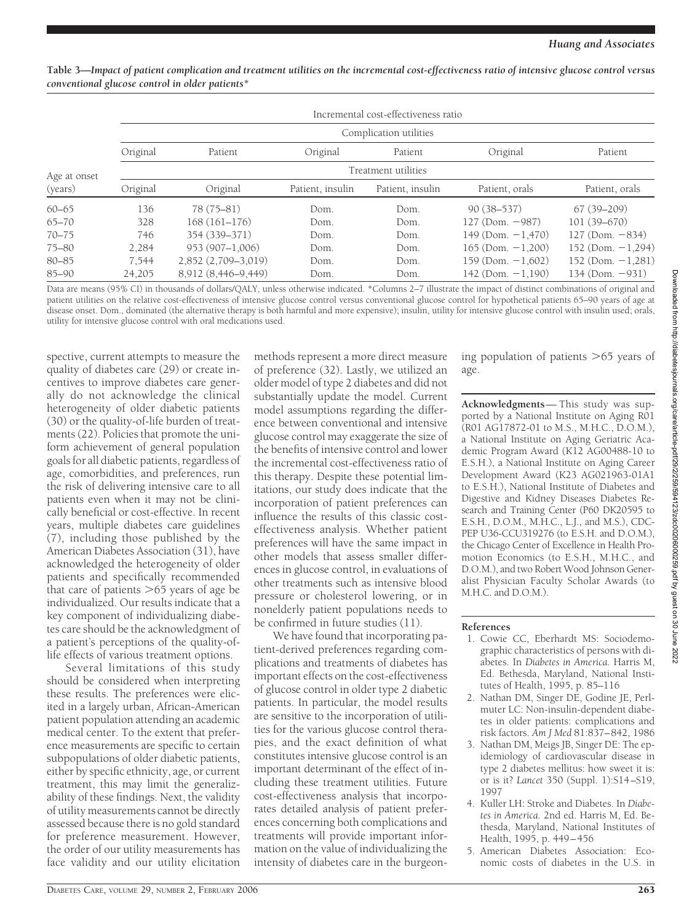|              | Incremental cost-effectiveness ratio |                     |                  |                     |                        |                        |  |  |
|--------------|--------------------------------------|---------------------|------------------|---------------------|------------------------|------------------------|--|--|
|              | Complication utilities               |                     |                  |                     |                        |                        |  |  |
|              | Original                             | Patient             | Original         | Patient             | Original               | Patient                |  |  |
| Age at onset |                                      |                     |                  | Treatment utilities |                        |                        |  |  |
| (years)      | Original                             | Original            | Patient, insulin | Patient, insulin    | Patient, orals         | Patient, orals         |  |  |
| $60 - 65$    | 136                                  | 78 (75-81)          | Dom.             | Dom.                | $90(38 - 537)$         | $67(39 - 209)$         |  |  |
| $65 - 70$    | 328                                  | $168(161-176)$      | Dom.             | Dom.                | $127$ (Dom. $-987$ )   | $101(39 - 670)$        |  |  |
| $70 - 75$    | 746                                  | 354 (339-371)       | Dom.             | Dom.                | $149$ (Dom. $-1,470$ ) | $127$ (Dom. $-834$ )   |  |  |
| $75 - 80$    | 2.284                                | $953(907-1.006)$    | Dom.             | Dom.                | $165$ (Dom. $-1.200$ ) | 152 (Dom. $-1,294$ )   |  |  |
| 80-85        | 7,544                                | 2,852 (2,709-3,019) | Dom.             | Dom.                | $159$ (Dom. $-1,602$ ) | $152$ (Dom. $-1,281$ ) |  |  |
| $85 - 90$    | 24,205                               | 8,912 (8,446-9,449) | Dom.             | Dom.                | $142$ (Dom. $-1,190$ ) | $134$ (Dom. $-931$ )   |  |  |

**Table 3—***Impact of patient complication and treatment utilities on the incremental cost-effectiveness ratio of intensive glucose control versus conventional glucose control in older patients\**

Data are means (95% CI) in thousands of dollars/QALY, unless otherwise indicated. \*Columns 2–7 illustrate the impact of distinct combinations of original and patient utilities on the relative cost-effectiveness of intensive glucose control versus conventional glucose control for hypothetical patients 65–90 years of age at disease onset. Dom., dominated (the alternative therapy is both harmful and more expensive); insulin, utility for intensive glucose control with insulin used; orals, utility for intensive glucose control with oral medications used.

spective, current attempts to measure the quality of diabetes care (29) or create incentives to improve diabetes care generally do not acknowledge the clinical heterogeneity of older diabetic patients (30) or the quality-of-life burden of treatments (22). Policies that promote the uniform achievement of general population goals for all diabetic patients, regardless of age, comorbidities, and preferences, run the risk of delivering intensive care to all patients even when it may not be clinically beneficial or cost-effective. In recent years, multiple diabetes care guidelines (7), including those published by the American Diabetes Association (31), have acknowledged the heterogeneity of older patients and specifically recommended that care of patients  $>$ 65 years of age be individualized. Our results indicate that a key component of individualizing diabetes care should be the acknowledgment of a patient's perceptions of the quality-oflife effects of various treatment options.

Several limitations of this study should be considered when interpreting these results. The preferences were elicited in a largely urban, African-American patient population attending an academic medical center. To the extent that preference measurements are specific to certain subpopulations of older diabetic patients, either by specific ethnicity, age, or current treatment, this may limit the generalizability of these findings. Next, the validity of utility measurements cannot be directly assessed because there is no gold standard for preference measurement. However, the order of our utility measurements has face validity and our utility elicitation

methods represent a more direct measure of preference (32). Lastly, we utilized an older model of type 2 diabetes and did not substantially update the model. Current model assumptions regarding the difference between conventional and intensive glucose control may exaggerate the size of the benefits of intensive control and lower the incremental cost-effectiveness ratio of this therapy. Despite these potential limitations, our study does indicate that the incorporation of patient preferences can influence the results of this classic costeffectiveness analysis. Whether patient preferences will have the same impact in other models that assess smaller differences in glucose control, in evaluations of other treatments such as intensive blood pressure or cholesterol lowering, or in nonelderly patient populations needs to be confirmed in future studies (11).

We have found that incorporating patient-derived preferences regarding complications and treatments of diabetes has important effects on the cost-effectiveness of glucose control in older type 2 diabetic patients. In particular, the model results are sensitive to the incorporation of utilities for the various glucose control therapies, and the exact definition of what constitutes intensive glucose control is an important determinant of the effect of including these treatment utilities. Future cost-effectiveness analysis that incorporates detailed analysis of patient preferences concerning both complications and treatments will provide important information on the value of individualizing the intensity of diabetes care in the burgeon-

ing population of patients >65 years of age.

**Acknowledgments**— This study was supported by a National Institute on Aging R01 (R01 AG17872-01 to M.S., M.H.C., D.O.M.), a National Institute on Aging Geriatric Academic Program Award (K12 AG00488-10 to E.S.H.), a National Institute on Aging Career Development Award (K23 AG021963-01A1 to E.S.H.), National Institute of Diabetes and Digestive and Kidney Diseases Diabetes Research and Training Center (P60 DK20595 to E.S.H., D.O.M., M.H.C., L.J., and M.S.), CDC-PEP U36-CCU319276 (to E.S.H. and D.O.M.), the Chicago Center of Excellence in Health Promotion Economics (to E.S.H., M.H.C., and D.O.M.), and two Robert Wood Johnson Generalist Physician Faculty Scholar Awards (to M.H.C. and D.O.M.).

#### **References**

- 1. Cowie CC, Eberhardt MS: Sociodemographic characteristics of persons with diabetes. In *Diabetes in America.* Harris M, Ed. Bethesda, Maryland, National Institutes of Health, 1995, p. 85–116
- 2. Nathan DM, Singer DE, Godine JE, Perlmuter LC: Non-insulin-dependent diabetes in older patients: complications and risk factors. *Am J Med* 81:837–842, 1986
- 3. Nathan DM, Meigs JB, Singer DE: The epidemiology of cardiovascular disease in type 2 diabetes mellitus: how sweet it is: or is it? *Lancet* 350 (Suppl. 1):S14–S19, 1997
- 4. Kuller LH: Stroke and Diabetes. In *Diabetes in America.* 2nd ed. Harris M, Ed. Bethesda, Maryland, National Institutes of Health, 1995, p. 449–456
- 5. American Diabetes Association: Economic costs of diabetes in the U.S. in